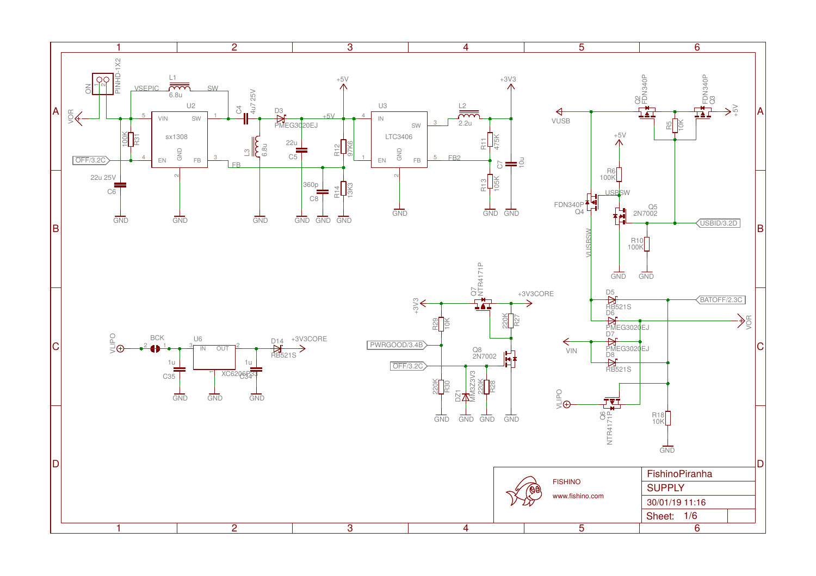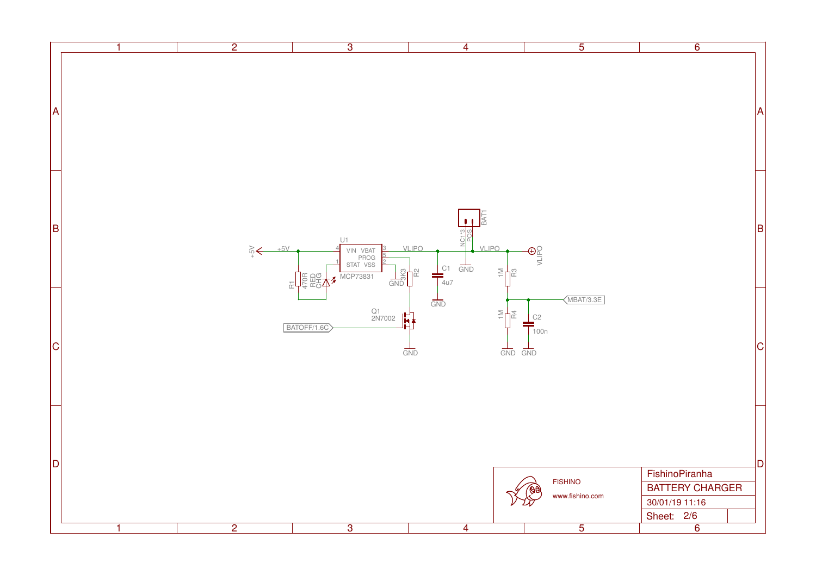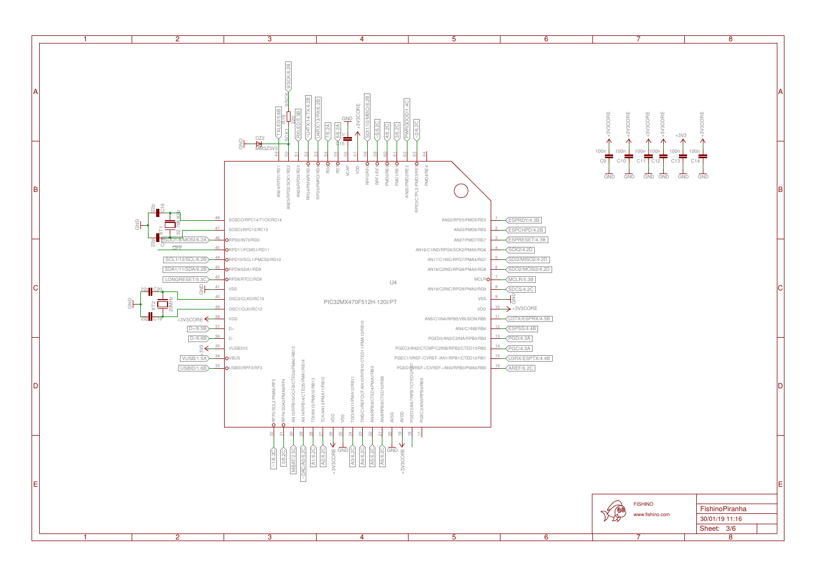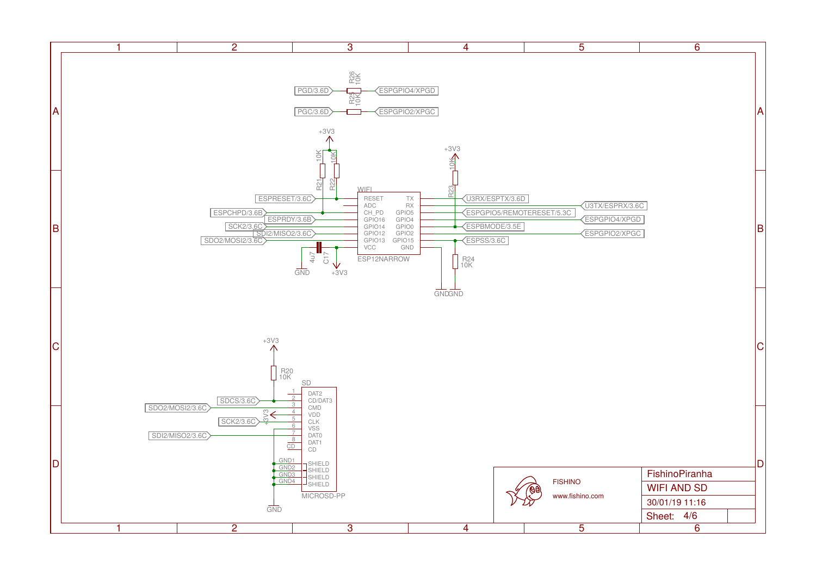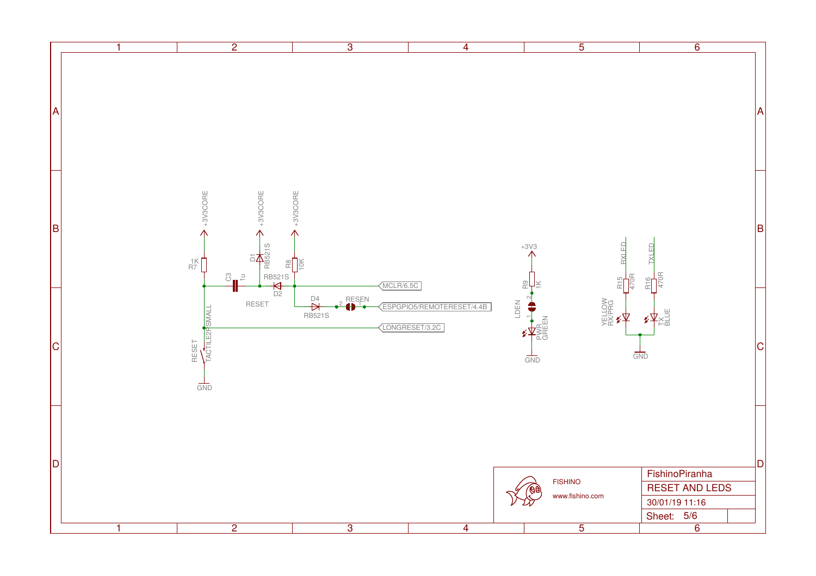